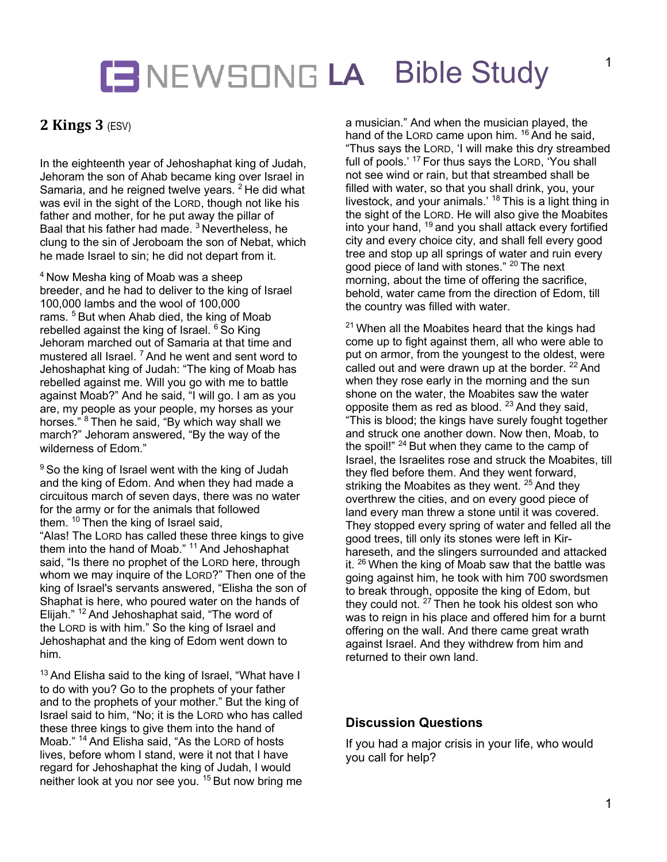# **LA** Bible Study

## **2 Kings 3** (ESV)

In the eighteenth year of Jehoshaphat king of Judah, Jehoram the son of Ahab became king over Israel in Samaria, and he reigned twelve years.<sup>2</sup> He did what was evil in the sight of the LORD, though not like his father and mother, for he put away the pillar of Baal that his father had made.<sup>3</sup> Nevertheless, he clung to the sin of Jeroboam the son of Nebat, which he made Israel to sin; he did not depart from it.

<sup>4</sup> Now Mesha king of Moab was a sheep breeder, and he had to deliver to the king of Israel 100,000 lambs and the wool of 100,000 rams.<sup>5</sup> But when Ahab died, the king of Moab rebelled against the king of Israel.  $6$  So King Jehoram marched out of Samaria at that time and mustered all Israel.<sup>7</sup> And he went and sent word to Jehoshaphat king of Judah: "The king of Moab has rebelled against me. Will you go with me to battle against Moab?" And he said, "I will go. I am as you are, my people as your people, my horses as your horses."<sup>8</sup> Then he said, "By which way shall we march?" Jehoram answered, "By the way of the wilderness of Edom."

 $9$  So the king of Israel went with the king of Judah and the king of Edom. And when they had made a circuitous march of seven days, there was no water for the army or for the animals that followed them. <sup>10</sup> Then the king of Israel said. "Alas! The LORD has called these three kings to give them into the hand of Moab."<sup>11</sup> And Jehoshaphat said, "Is there no prophet of the LORD here, through whom we may inquire of the LORD?" Then one of the king of Israel's servants answered, "Elisha the son of Shaphat is here, who poured water on the hands of Elijah."<sup>12</sup> And Jehoshaphat said, "The word of the LORD is with him." So the king of Israel and Jehoshaphat and the king of Edom went down to him.

<sup>13</sup> And Elisha said to the king of Israel, "What have I to do with you? Go to the prophets of your father and to the prophets of your mother." But the king of Israel said to him, "No; it is the LORD who has called these three kings to give them into the hand of Moab." <sup>14</sup> And Elisha said, "As the LORD of hosts lives, before whom I stand, were it not that I have regard for Jehoshaphat the king of Judah, I would neither look at you nor see you. <sup>15</sup> But now bring me

a musician." And when the musician played, the hand of the LORD came upon him. <sup>16</sup> And he said, "Thus says the LORD, 'I will make this dry streambed full of pools.' <sup>17</sup> For thus says the LORD, 'You shall not see wind or rain, but that streambed shall be filled with water, so that you shall drink, you, your livestock, and your animals.' <sup>18</sup> This is a light thing in the sight of the LORD. He will also give the Moabites into your hand, <sup>19</sup> and you shall attack every fortified city and every choice city, and shall fell every good tree and stop up all springs of water and ruin every good piece of land with stones." <sup>20</sup> The next morning, about the time of offering the sacrifice, behold, water came from the direction of Edom, till the country was filled with water.

 $21$  When all the Moabites heard that the kings had come up to fight against them, all who were able to put on armor, from the youngest to the oldest, were called out and were drawn up at the border.  $22$  And when they rose early in the morning and the sun shone on the water, the Moabites saw the water opposite them as red as blood.  $23$  And they said, "This is blood; the kings have surely fought together and struck one another down. Now then, Moab, to the spoil!" <sup>24</sup> But when they came to the camp of Israel, the Israelites rose and struck the Moabites, till they fled before them. And they went forward, striking the Moabites as they went. <sup>25</sup> And they overthrew the cities, and on every good piece of land every man threw a stone until it was covered. They stopped every spring of water and felled all the good trees, till only its stones were left in Kirhareseth, and the slingers surrounded and attacked it.  $26$  When the king of Moab saw that the battle was going against him, he took with him 700 swordsmen to break through, opposite the king of Edom, but they could not. <sup>27</sup> Then he took his oldest son who was to reign in his place and offered him for a burnt offering on the wall. And there came great wrath against Israel. And they withdrew from him and returned to their own land.

#### **Discussion Questions**

If you had a major crisis in your life, who would you call for help?